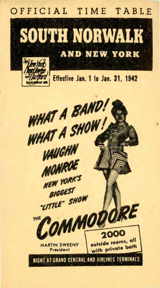#### OFFICIAL TIME TABLE



Effective Jan. 1 to Jan. 31, 1942

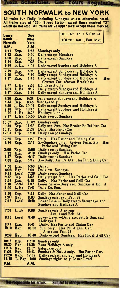### **SOUTH NORWALK to NEW YORK**

**Yours** 

Regularly.

Train Scheduler, Cat-

| All trains run Daily (including Sundays) unless otherwise noted.<br>All trains stop at 125th Street Station except those marked "X"<br>which do not stop. All trains arrive upper level except those marked. |                 |                |                                                                                                                       |  |  |  |  |
|--------------------------------------------------------------------------------------------------------------------------------------------------------------------------------------------------------------|-----------------|----------------|-----------------------------------------------------------------------------------------------------------------------|--|--|--|--|
| Loave<br>South                                                                                                                                                                                               |                 | Due<br>New     | HOL"A" Jan. 1 & Feb 23<br><b>HOL"B" Jan 1, Feb 12,23</b>                                                              |  |  |  |  |
| Norwalk                                                                                                                                                                                                      |                 | Yerk           |                                                                                                                       |  |  |  |  |
| A.M.<br>2:42                                                                                                                                                                                                 | Exp.            | A.M.<br>3:55   |                                                                                                                       |  |  |  |  |
| 3:42                                                                                                                                                                                                         | Exp.            | 5:00           | Mondays only<br>Daily except Mondays                                                                                  |  |  |  |  |
| 6:00                                                                                                                                                                                                         | Exp.            | 7:10           | Daily except Sundays                                                                                                  |  |  |  |  |
| 6:24<br>6:46                                                                                                                                                                                                 | Exp.<br>L. Ex.  | 7:33<br>7:55   | Daily<br>Daily except Sundays and Holidays A                                                                          |  |  |  |  |
| 7:22                                                                                                                                                                                                         | Exp.            | 8:20           | Daily except Sundays and Holidays A                                                                                   |  |  |  |  |
| 7:25<br>7:47                                                                                                                                                                                                 | L.Ex.<br>Exp.   | 8:40<br>8:46   | Daily except Sundays and Holidays A<br>Daily except Sundays and Holidays A.<br>Has<br>Counter Car. (Serves Breakfast) |  |  |  |  |
| 7:47                                                                                                                                                                                                         | L.Ex.           | 8:53           | Holidays A only                                                                                                       |  |  |  |  |
| 8:04<br>8:17                                                                                                                                                                                                 | L. Ex.          | 9:12           | Daily except Sundays and Holidays A                                                                                   |  |  |  |  |
| 8:30                                                                                                                                                                                                         | Exp.<br>Exp.    | 9:14<br>9:38   | Daily except Sundays and Holidays A<br>Daily except Sundays and Holidays A                                            |  |  |  |  |
| 8:45                                                                                                                                                                                                         | Exp.<br>L. Ex.  | 9:45           | Sundays only                                                                                                          |  |  |  |  |
| 8:56                                                                                                                                                                                                         |                 | 10:02<br>10:15 | Daily except Sundays and Holidays A                                                                                   |  |  |  |  |
| 9:16<br>9:20                                                                                                                                                                                                 | Exp.<br>L.Ex.   | 10.26          | Daily except Sundays and Holidays A<br>Holidays A only                                                                |  |  |  |  |
| 9:47                                                                                                                                                                                                         | L. Ex.          | 10:50          | Daily except Sundays                                                                                                  |  |  |  |  |
| 10:07                                                                                                                                                                                                        | Exp.            | 11:02          | Sundays only                                                                                                          |  |  |  |  |
| 10:36<br>10:41                                                                                                                                                                                               | Exp.<br>Exp.    | 11:35<br>11:38 | Daily exc. Sun. Has Broiler Buffet Par. Car<br>Daily. Has Parlor Car.                                                 |  |  |  |  |
| 12:05                                                                                                                                                                                                        | Exp.            | 1:10           | Daily except Sundays                                                                                                  |  |  |  |  |
| 12:50<br>1:14                                                                                                                                                                                                | Exp.<br>Exp.    | 1:50<br>2:12   | Daily.<br>Has Parlor and Dining Car<br>X-Sundays only. Arrives Penn. Sta.<br><b>Has</b><br>Parlor and Dining Car      |  |  |  |  |
| 2:05                                                                                                                                                                                                         | Exp.            | 3:05           | Daily except Sundays                                                                                                  |  |  |  |  |
| 3:12                                                                                                                                                                                                         | Exp.            | 4:10           | Sundays only. Has P<br>Daily except Sundays<br>Has Parlor Car                                                         |  |  |  |  |
| 3:17<br>4:09                                                                                                                                                                                                 | Exp.<br>Exp.    | 4:17<br>5:12   | X—Daily. Arr. Pa. Sta. Has Plr. & Din'g Car                                                                           |  |  |  |  |
| 4:50                                                                                                                                                                                                         | Exp.            | 5:50           | Daily.                                                                                                                |  |  |  |  |
| 5:08                                                                                                                                                                                                         | Exp.            | 6:04           | Daily exc. Sundays.                                                                                                   |  |  |  |  |
| 3:32<br>5:37                                                                                                                                                                                                 | Local<br>Exp.   | 7:20<br>6:35   | Daily except Sundays<br>Daily except Sun. Has Parlor and Grill Car                                                    |  |  |  |  |
| 5:57                                                                                                                                                                                                         | Exp.            | 6:55           | Has Parlor and Grill Car<br>Daily.                                                                                    |  |  |  |  |
| 8:15<br>6:40                                                                                                                                                                                                 | Local<br>L. Ex. | 7:45<br>7:42   | Lower Level-Daily exc. Sundays & Hol. A<br>Daily Ex. Sun.                                                             |  |  |  |  |
| 6:56                                                                                                                                                                                                         | Exp.            | 7:55           | Daily. Has Parlor and Grill Car                                                                                       |  |  |  |  |
| 7:00                                                                                                                                                                                                         | Exp.            | 8:00           | Sundays only, exc. Feb. 22                                                                                            |  |  |  |  |
| 7:18                                                                                                                                                                                                         | <b>Local</b>    | 8:40           | Lower Level-Daily except Saturdays and<br><b>Sundays and Holidays A</b>                                               |  |  |  |  |
| 7:56                                                                                                                                                                                                         | L. Ex.          | 9:00           | Sundays only Also runs<br>Jan. 1 and Feb. 23                                                                          |  |  |  |  |
| 8:18                                                                                                                                                                                                         | Local           | 9:40           | Lower Level.-Daily exc. Sat. & Sun. and<br>Holidays A                                                                 |  |  |  |  |
| 8:47<br>9:10                                                                                                                                                                                                 | Exp.<br>Exp.    | 9:45<br>10:05  | Daily. Has Parlor and Dining Car<br>Has Plr. & Din. Car.<br>Sun. only.                                                |  |  |  |  |
| 9:39                                                                                                                                                                                                         | Exp.            | 10:40          | Also runs Feb. 23<br>Daily except Sundays. Has Plr. & Grill Car                                                       |  |  |  |  |
| 10:16                                                                                                                                                                                                        | Exp.            | 11:18          | Sundays only                                                                                                          |  |  |  |  |
| 10:20                                                                                                                                                                                                        | Exp.            | 11:26          | Runs Holidays A only                                                                                                  |  |  |  |  |
| 11:16<br>11:23                                                                                                                                                                                               | Exp.<br>Exp.    | 12:17<br>12:23 | Saturdays only.<br>Sundays & Hol. A only. Has Parlor Car.                                                             |  |  |  |  |
| 11:20                                                                                                                                                                                                        | Exp.            | 12:38          | Daily exc. Sat. and Sun. and Holidays A                                                                               |  |  |  |  |
| 11:58                                                                                                                                                                                                        |                 | L. Exp. 1:00   | Sundays night- only Lower Level                                                                                       |  |  |  |  |
| P.M.                                                                                                                                                                                                         |                 | A.M.           |                                                                                                                       |  |  |  |  |

Subject to change without n tice.

Not responsible for errors.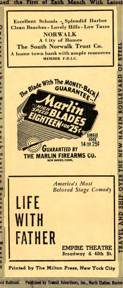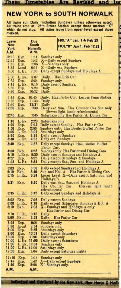#### **NEW YORK to SOUTH NORWALK**

and Ŧщ

These Timelables Are Revised

All trains run Daily (including Sundays) unless otherwise noted. All trains stop at 125th Street Station except those marked "'X" which do not stop. All trains leave from upper level except those<br>marked. <br>Leave Due **HOL'"A" Jan. 1 & Feb 23** 

| Leave          | <b>Due</b>           |                        |                                        | HOL"A" Jan. 1 & Feb 23                                                                 |  |  |
|----------------|----------------------|------------------------|----------------------------------------|----------------------------------------------------------------------------------------|--|--|
| <b>New</b>     |                      | <b>South</b>           |                                        | <b>HOL"B" Jan 1, Feb 12,23</b>                                                         |  |  |
| York<br>A.M.   |                      | <b>Norwalk</b><br>A.M. |                                        |                                                                                        |  |  |
| 12:10          | Exp.                 | 1:14                   | Sundays only                           |                                                                                        |  |  |
| 12:45<br>1:10  | Exp.                 | 1:42<br>2:06           | X-Daily except Sundays                 |                                                                                        |  |  |
| 3:45           | Exp.<br>Local        | 6:14                   | X-Sundays only<br>X-Daily exc. Sundays |                                                                                        |  |  |
| 6:00           | L. Ex.               | 7:08                   |                                        | Daily except Sundays and Holidays A                                                    |  |  |
| 7:00           | L. Ex.               | 8:07                   | Daily.                                 | Has Grill Car                                                                          |  |  |
| 7:55<br>8:15   | Exp.<br>L. Ex.       | 8:54<br>9:15           | Sundays only                           | Daily except Sundays.                                                                  |  |  |
| 8:30           | Exp.                 | 9.29                   | Daily                                  |                                                                                        |  |  |
| 9:30           | Exp.                 | 10:32                  | Daily                                  |                                                                                        |  |  |
| 9:45<br>10:30  | Exp.<br>Exp.         | 10:45<br>11:30         | Daily                                  | Daily. Has Parlor Car: Leaves Penn Station                                             |  |  |
| 11:30          | Exp.                 | 12:31                  | Daily                                  |                                                                                        |  |  |
| 12:30          | Exp.                 | 1:30                   |                                        | Daily exc. Sun. Has Counter Car Sat. only<br>(Serves light lunch-refreshments)         |  |  |
| 12:45          | Exp.                 | 1:45                   |                                        | Saturdays only Has Parlor & Dining Car                                                 |  |  |
| 1:18           | L. Ex.               | 2:23                   | Saturdays only                         |                                                                                        |  |  |
| 1:40<br>1:50   | Exp.<br>Exp.         | 2:42<br>2:50           |                                        | Daily except Sunday. Has Parlor Car<br>Sundays only. Has Broiler Buffet Parlor Car     |  |  |
| 2:05           | L. Ex.               | 3:09                   | Saturdays only                         |                                                                                        |  |  |
| 2:30<br>3:30   | Exp.<br>L. Ex.       | 3:35<br>4:33           | Daily exc. Sundays.                    | Daily except Sundays                                                                   |  |  |
| 3:40           | Exp.                 | 4:37                   |                                        | Daily except Sundays Has Broiler Buffet                                                |  |  |
|                |                      |                        | Parlor Car.                            |                                                                                        |  |  |
| 4:00<br>4:10   | Exp.<br>L. Exp.      | 4:55<br>5:30           |                                        | <b>Sundays only. Has Parlor and Dining Cars</b><br>Daily except Sundays and Holidays A |  |  |
| 4:27           | Exp.                 | 5:25                   |                                        | Daily except Saturdays & Sundays                                                       |  |  |
| 4:45           | I., Ex.              | 5:51                   |                                        | Daily except Sat., Sun. and Holidays A                                                 |  |  |
| 5:03<br>5:10   | Exp.                 | 6:06<br>6:10           |                                        | Daily except Sundays and Holidays A                                                    |  |  |
| 5:15           | Exp.<br>L. Ex.       | 6:24                   |                                        | Sun. and Hol. A. Has Parlor & Dining Car.<br>Lower Level X—Daily except Sat., Sun. and |  |  |
| 5:31           |                      |                        | <b>Holidays B</b>                      |                                                                                        |  |  |
|                | Exp.                 | 6:30                   | Has Counter Car.                       | Daily exc. Sat., Sun. and Holidays A<br>(Serves light lunch                            |  |  |
| 5:35           | L. Ex.               | 6:42                   | refreshments)                          | Daily except Sundays and Holidays A                                                    |  |  |
|                |                      |                        |                                        |                                                                                        |  |  |
| 6:02<br>6:08   | Exp.<br>L. Ex.       | 7:03<br>7:18           |                                        | Daily except Sundays<br>Daily except Saturdays, Sundays & Hol. A                       |  |  |
| 6:10           | Exp.                 | 7:03                   |                                        | X—Sundays and Holidays A only                                                          |  |  |
| 7:10           | L. Ex.               | 8:18                   | Daily                                  | Has Parlor and Dining Car                                                              |  |  |
| 8:00           | Exp.                 | 8:59                   |                                        | Daily. Has Parlor Car                                                                  |  |  |
| 8:25           | Exp.                 | 9:21                   | Sundays only                           |                                                                                        |  |  |
| 8:30<br>9:00   | Local<br>Exp.        | 9:34<br>9:59           | Sundays only,<br>Saturdays only        |                                                                                        |  |  |
| 9:00           | Exp.                 | 10:03                  |                                        | Daily except Saturdays                                                                 |  |  |
| 10:00<br>10:00 | Exp.<br>L. Ex. 11:05 | 11:01                  | Saturdays only                         |                                                                                        |  |  |
| 11:00          | L. Ex. 12:01         |                        | Sundays only                           | Daily except Saturdays                                                                 |  |  |
| 11.00<br>12:00 | L. Ex. 12:06         |                        | Saturdays only                         |                                                                                        |  |  |
|                | Exp.                 | 1:04                   |                                        | Daily except Saturday nights                                                           |  |  |
| 12:10<br>12:45 | Exp.<br>Exp.         | 1:14<br>1:42           | Sundays only                           | -Daily except Sundays                                                                  |  |  |
| 1:10           | Exp.                 | 2:06                   | X-Sundays only.                        |                                                                                        |  |  |
| A.M.           |                      | A.M.                   |                                        |                                                                                        |  |  |

Authorized and distributed by the New York, New Haven & Marth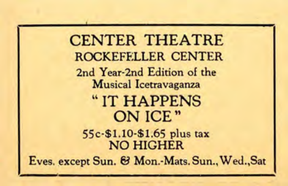**CENTER THEATRE** ROCKEFELLER CENTER 2nd Year-2nd Edition of the **Musical Icetravaganza** "IT HAPPENS ON ICE" 55c-\$1.10-\$1.65 plus tax **NO HIGHER** Eves. except Sun. & Mon.-Mats. Sun., Wed., Sat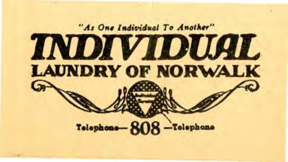## "As One Individual To Another" **INDIVIDUAL LAUNDRY OF NORWALK** Telephone-ROR-Telephone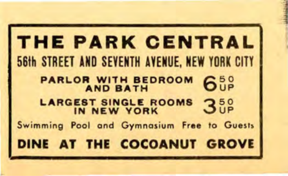THE PARK CENTRAL 56th STREET AND SEVENTH AVENUE, NEW YORK CITY PARLOR WITH BEDROOM န်းနိ ARGEST SINGLE ROOMS  $3<sup>50</sup>$ Swimming Pool and Gymnasium Free to Guests INE AT THE COCOANUT GROVE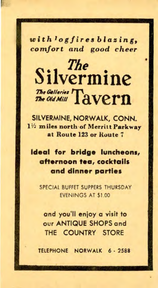with *log fires blazing comfort and* good *cheer* 

# **Silvermine** The Galleries Tavern

SILVERMINE, NORWALK, CONN. 1 *1/2*miles north ·of Merritt Parkway at Route 123 or Route 7

**Ideal for bridge luncheons, afternoon tea cocktails and dinner parties** 

SPECIAL BUFFET SUPPERS THURSDAY EVENINGS AT \$1.00

and you'll enjoy a visit to **OUT ANTIQUE SHOPS and** THE COUNTRY STORE

TELEPHONE NORWALK *6* · 2588